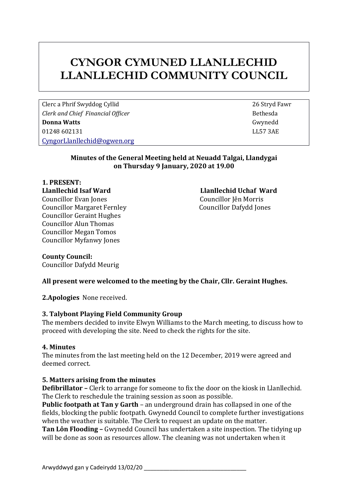# **CYNGOR CYMUNED LLANLLECHID LLANLLECHID COMMUNITY COUNCIL**

Clerc a Phrif Swyddog Cyllid 26 Stryd Fawr *Clerk* and *Chief Financial Officer* **Bethesda Bethesda Donna Watts** Gwynedd 01248 602131 LL57 3AE [CyngorLlanllechid@ogwen.org](mailto:CyngorLlanllechid@ogwen.org)

## **Minutes of the General Meeting held at Neuadd Talgai, Llandygai on Thursday 9 January, 2020 at 19.00**

#### **1. PRESENT: Llanllechid Isaf Ward Llanllechid Uchaf Ward** Councillor Evan Jones Councillor Jên Morris Councillor Margaret Fernley Councillor Dafydd Jones Councillor Geraint Hughes Councillor Alun Thomas Councillor Megan Tomos Councillor Myfanwy Jones

**County Council:** Councillor Dafydd Meurig

# **All present were welcomed to the meeting by the Chair, Cllr. Geraint Hughes.**

**2.Apologies** None received.

## **3. Talybont Playing Field Community Group**

The members decided to invite Elwyn Williams to the March meeting, to discuss how to proceed with developing the site. Need to check the rights for the site.

## **4. Minutes**

The minutes from the last meeting held on the 12 December, 2019 were agreed and deemed correct.

## **5. Matters arising from the minutes**

**Defibrillator –** Clerk to arrange for someone to fix the door on the kiosk in Llanllechid. The Clerk to reschedule the training session as soon as possible.

**Public footpath at Tan y Garth** – an underground drain has collapsed in one of the fields, blocking the public footpath. Gwynedd Council to complete further investigations when the weather is suitable. The Clerk to request an update on the matter.

**Tan Lôn Flooding –** Gwynedd Council has undertaken a site inspection. The tidying up will be done as soon as resources allow. The cleaning was not undertaken when it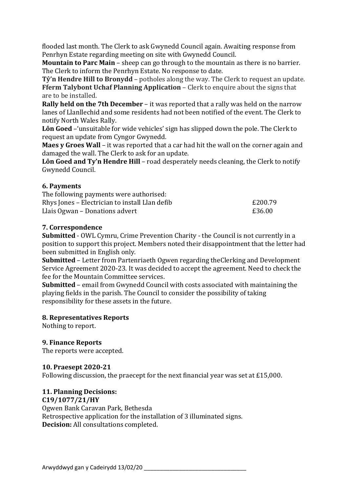flooded last month. The Clerk to ask Gwynedd Council again. Awaiting response from Penrhyn Estate regarding meeting on site with Gwynedd Council.

**Mountain to Parc Main** – sheep can go through to the mountain as there is no barrier. The Clerk to inform the Penrhyn Estate. No response to date.

**Tŷ'n Hendre Hill to Bronydd** – potholes along the way. The Clerk to request an update. **Fferm Talybont Uchaf Planning Application** – Clerk to enquire about the signs that are to be installed.

**Rally held on the 7th December** – it was reported that a rally was held on the narrow lanes of Llanllechid and some residents had not been notified of the event. The Clerk to notify North Wales Rally.

**Lôn Goed** –'unsuitable for wide vehicles' sign has slipped down the pole. The Clerk to request an update from Cyngor Gwynedd.

**Maes y Groes Wall** – it was reported that a car had hit the wall on the corner again and damaged the wall. The Clerk to ask for an update.

**Lôn Goed and Ty'n Hendre Hill** – road desperately needs cleaning, the Clerk to notify Gwynedd Council.

## **6. Payments**

| The following payments were authorised:        |         |
|------------------------------------------------|---------|
| Rhys Jones – Electrician to install Llan defib | £200.79 |
| Llais Ogwan – Donations advert                 | £36.00  |

## **7. Correspondence**

**Submitted** - OWL Cymru, Crime Prevention Charity - the Council is not currently in a position to support this project. Members noted their disappointment that the letter had been submitted in English only.

**Submitted** – Letter from Partenriaeth Ogwen regarding theClerking and Development Service Agreement 2020-23. It was decided to accept the agreement. Need to check the fee for the Mountain Committee services.

**Submitted** – email from Gwynedd Council with costs associated with maintaining the playing fields in the parish. The Council to consider the possibility of taking responsibility for these assets in the future.

## **8. Representatives Reports**

Nothing to report.

# **9. Finance Reports**

The reports were accepted.

## **10. Praesept 2020-21**

Following discussion, the praecept for the next financial year was set at £15,000.

# **11. Planning Decisions:**

## **C19/1077/21/HY**

Ogwen Bank Caravan Park, Bethesda Retrospective application for the installation of 3 illuminated signs. **Decision:** All consultations completed.